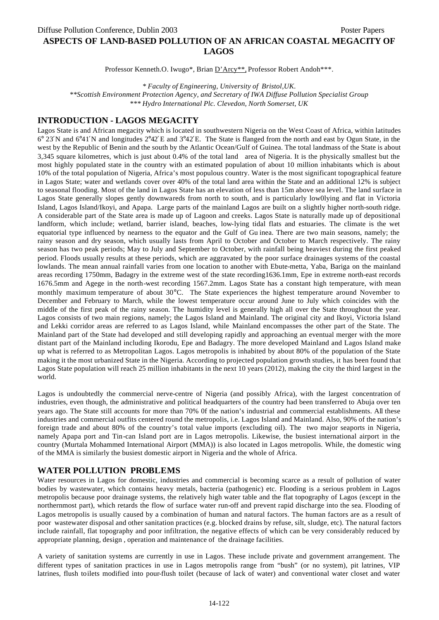Professor Kenneth.O. Iwugo\*, Brian D'Arcy\*\*, Professor Robert Andoh\*\*\*.

*\* Faculty of Engineering, University of Bristol,UK.*

*\*\*Scottish Environment Protection Agency, and Secretary of IWA Diffuse Pollution Specialist Group \*\*\* Hydro International Plc. Clevedon, North Somerset, UK*

## **INTRODUCTION - LAGOS MEGACITY**

Lagos State is and African megacity which is located in southwestern Nigeria on the West Coast of Africa, within latitudes 6° 23′N and 6°41′N and longitudes 2°42′E and 3°42′E. The State is flanged from the north and east by Ogun State, in the west by the Republic of Benin and the south by the Atlantic Ocean/Gulf of Guinea. The total landmass of the State is about 3,345 square kilometres, which is just about 0.4% of the total land area of Nigeria. It is the physically smallest but the most highly populated state in the country with an estimated population of about 10 million inhabitants which is about 10% of the total population of Nigeria, Africa's most populous country. Water is the most significant topographical feature in Lagos State; water and wetlands cover over 40% of the total land area within the State and an additional 12% is subject to seasonal flooding. Most of the land in Lagos State has an elevation of less than 15m above sea level. The land surface in Lagos State generally slopes gently downwareds from north to south, and is particularly low0lying and flat in Victoria Island, Lagos Island/Ikoyi, and Apapa. Large parts of the mainland Lagos are built on a slightly higher north-south ridge. A considerable part of the State area is made up of Lagoon and creeks. Lagos State is naturally made up of depositional landform, which include; wetland, barrier island, beaches, low-lying tidal flats and estuaries. The climate is the wet equatorial type influenced by nearness to the equator and the Gulf of Gu inea. There are two main seasons, namely; the rainy season and dry season, which usually lasts from April to October and October to March respectively. The rainy season has two peak periods; May to July and September to October, with rainfall being heaviest during the first peaked period. Floods usually results at these periods, which are aggravated by the poor surface drainages systems of the coastal lowlands. The mean annual rainfall varies from one location to another with Ebute-metta, Yaba, Bariga on the mainland areas recording 1750mm, Badagry in the extreme west of the state recording1636.1mm, Epe in extreme north-east records 1676.5mm and Agege in the north-west recording 1567.2mm. Lagos State has a constant high temperature, with mean monthly maximum temperature of about 30°C. The State experiences the highest temperature around November to December and February to March, while the lowest temperature occur around June to July which coincides with the middle of the first peak of the rainy season. The humidity level is generally high all over the State throughout the year. Lagos consists of two main regions, namely; the Lagos Island and Mainland. The original city and Ikoyi, Victoria Island and Lekki corridor areas are referred to as Lagos Island, while Mainland encompasses the other part of the State. The Mainland part of the State had developed and still developing rapidly and approaching an eventual merger with the more distant part of the Mainland including Ikorodu, Epe and Badagry. The more developed Mainland and Lagos Island make up what is referred to as Metropolitan Lagos. Lagos metropolis is inhabited by about 80% of the population of the State making it the most urbanized State in the Nigeria. According to projected population growth studies, it has been found that Lagos State population will reach 25 million inhabitants in the next 10 years (2012), making the city the third largest in the world.

Lagos is undoubtedly the commercial nerve-centre of Nigeria (and possibly Africa), with the largest concentration of industries, even though, the administrative and political headquarters of the country had been transferred to Abuja over ten years ago. The State still accounts for more than 70% 0f the nation's industrial and commercial establishments. All these industries and commercial outfits centered round the metropolis, i.e. Lagos Island and Mainland. Also, 90% of the nation's foreign trade and about 80% of the country's total value imports (excluding oil). The two major seaports in Nigeria, namely Apapa port and Tin-can Island port are in Lagos metropolis. Likewise, the busiest international airport in the country (Murtala Mohammed International Airport (MMA)) is also located in Lagos metropolis. While, the domestic wing of the MMA is similarly the busiest domestic airport in Nigeria and the whole of Africa.

# **WATER POLLUTION PROBLEMS**

Water resources in Lagos for domestic, industries and commercial is becoming scarce as a result of pollution of water bodies by wastewater, which contains heavy metals, bacteria (pathogenic) etc. Flooding is a serious problem in Lagos metropolis because poor drainage systems, the relatively high water table and the flat topography of Lagos (except in the northernmost part), which retards the flow of surface water run-off and prevent rapid discharge into the sea. Flooding of Lagos metropolis is usually caused by a combination of human and natural factors. The human factors are as a result of poor wastewater disposal and other sanitation practices (e.g. blocked drains by refuse, silt, sludge, etc). The natural factors include rainfall, flat topography and poor infiltration, the negative effects of which can be very considerably reduced by appropriate planning, design , operation and maintenance of the drainage facilities.

A variety of sanitation systems are currently in use in Lagos. These include private and government arrangement. The different types of sanitation practices in use in Lagos metropolis range from "bush" (or no system), pit latrines, VIP latrines, flush toilets modified into pour-flush toilet (because of lack of water) and conventional water closet and water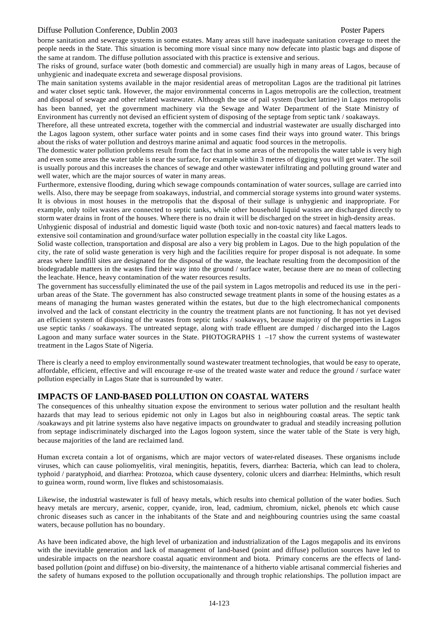## Diffuse Pollution Conference, Dublin 2003 Poster Papers

borne sanitation and sewerage systems in some estates. Many areas still have inadequate sanitation coverage to meet the people needs in the State. This situation is becoming more visual since many now defecate into plastic bags and dispose of the same at random. The diffuse pollution associated with this practice is extensive and serious.

The risks of ground, surface water (both domestic and commercial) are usually high in many areas of Lagos, because of unhygienic and inadequate excreta and sewerage disposal provisions.

The main sanitation systems available in the major residential areas of metropolitan Lagos are the traditional pit latrines and water closet septic tank. However, the major environmental concerns in Lagos metropolis are the collection, treatment and disposal of sewage and other related wastewater. Although the use of pail system (bucket latrine) in Lagos metropolis has been banned, yet the government machinery via the Sewage and Water Department of the State Ministry of Environment has currently not devised an efficient system of disposing of the septage from septic tank / soakaways.

Therefore, all these untreated excreta, together with the commercial and industrial wastewater are usually discharged into the Lagos lagoon system, other surface water points and in some cases find their ways into ground water. This brings about the risks of water pollution and destroys marine animal and aquatic food sources in the metropolis.

The domestic water pollution problems result from the fact that in some areas of the metropolis the water table is very high and even some areas the water table is near the surface, for example within 3 metres of digging you will get water. The soil is usually porous and this increases the chances of sewage and other wastewater infiltrating and polluting ground water and well water, which are the major sources of water in many areas.

Furthermore, extensive flooding, during which sewage compounds contamination of water sources, sullage are carried into wells. Also, there may be seepage from soakaways, industrial, and commercial storage systems into ground water systems. It is obvious in most houses in the metropolis that the disposal of their sullage is unhygienic and inappropriate. For example, only toilet wastes are connected to septic tanks, while other household liquid wastes are discharged directly to storm water drains in front of the houses. Where there is no drain it will be discharged on the street in high-density areas.

Unhygienic disposal of industrial and domestic liquid waste (both toxic and non-toxic natures) and faecal matters leads to extensive soil contamination and ground/surface water pollution especially in the coastal city like Lagos.

Solid waste collection, transportation and disposal are also a very big problem in Lagos. Due to the high population of the city, the rate of solid waste generation is very high and the facilities require for proper disposal is not adequate. In some areas where landfill sites are designated for the disposal of the waste, the leachate resulting from the decomposition of the biodegradable matters in the wastes find their way into the ground / surface water, because there are no mean of collecting the leachate. Hence, heavy contamination of the water resources results.

The government has successfully eliminated the use of the pail system in Lagos metropolis and reduced its use in the periurban areas of the State. The government has also constructed sewage treatment plants in some of the housing estates as a means of managing the human wastes generated within the estates, but due to the high electromechanical components involved and the lack of constant electricity in the country the treatment plants are not functioning. It has not yet devised an efficient system of disposing of the wastes from septic tanks / soakaways, because majority of the properties in Lagos use septic tanks / soakaways. The untreated septage, along with trade effluent are dumped / discharged into the Lagos Lagoon and many surface water sources in the State. PHOTOGRAPHS  $1 -17$  show the current systems of wastewater treatment in the Lagos State of Nigeria.

There is clearly a need to employ environmentally sound wastewater treatment technologies, that would be easy to operate, affordable, efficient, effective and will encourage re-use of the treated waste water and reduce the ground / surface water pollution especially in Lagos State that is surrounded by water.

## **IMPACTS OF LAND-BASED POLLUTION ON COASTAL WATERS**

The consequences of this unhealthy situation expose the environment to serious water pollution and the resultant health hazards that may lead to serious epidemic not only in Lagos but also in neighbouring coastal areas. The septic tank /soakaways and pit latrine systems also have negative impacts on groundwater to gradual and steadily increasing pollution from septage indiscriminately discharged into the Lagos logoon system, since the water table of the State is very high, because majorities of the land are reclaimed land.

Human excreta contain a lot of organisms, which are major vectors of water-related diseases. These organisms include viruses, which can cause poliomyelitis, viral meningitis, hepatitis, fevers, diarrhea: Bacteria, which can lead to cholera, typhoid / paratyphoid, and diarrhea: Protozoa, which cause dysentery, colonic ulcers and diarrhea: Helminths, which result to guinea worm, round worm, live flukes and schistosomaiasis.

Likewise, the industrial wastewater is full of heavy metals, which results into chemical pollution of the water bodies. Such heavy metals are mercury, arsenic, copper, cyanide, iron, lead, cadmium, chromium, nickel, phenols etc which cause chronic diseases such as cancer in the inhabitants of the State and and neighbouring countries using the same coastal waters, because pollution has no boundary.

As have been indicated above, the high level of urbanization and industrialization of the Lagos megapolis and its environs with the inevitable generation and lack of management of land-based (point and diffuse) pollution sources have led to undesirable impacts on the nearshore coastal aquatic environment and biota. Primary concerns are the effects of landbased pollution (point and diffuse) on bio-diversity, the maintenance of a hitherto viable artisanal commercial fisheries and the safety of humans exposed to the pollution occupationally and through trophic relationships. The pollution impact are